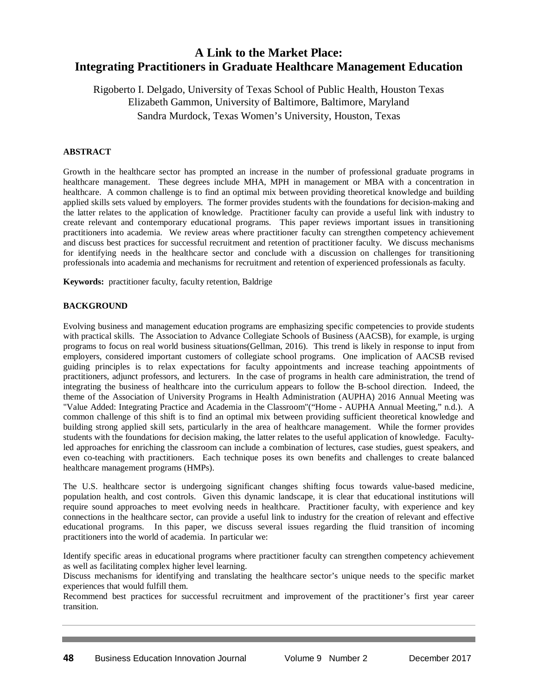# **A Link to the Market Place: Integrating Practitioners in Graduate Healthcare Management Education**

Rigoberto I. Delgado, University of Texas School of Public Health, Houston Texas Elizabeth Gammon, University of Baltimore, Baltimore, Maryland Sandra Murdock, Texas Women's University, Houston, Texas

## **ABSTRACT**

Growth in the healthcare sector has prompted an increase in the number of professional graduate programs in healthcare management. These degrees include MHA, MPH in management or MBA with a concentration in healthcare. A common challenge is to find an optimal mix between providing theoretical knowledge and building applied skills sets valued by employers. The former provides students with the foundations for decision-making and the latter relates to the application of knowledge. Practitioner faculty can provide a useful link with industry to create relevant and contemporary educational programs. This paper reviews important issues in transitioning practitioners into academia. We review areas where practitioner faculty can strengthen competency achievement and discuss best practices for successful recruitment and retention of practitioner faculty. We discuss mechanisms for identifying needs in the healthcare sector and conclude with a discussion on challenges for transitioning professionals into academia and mechanisms for recruitment and retention of experienced professionals as faculty.

**Keywords:** practitioner faculty, faculty retention, Baldrige

#### **BACKGROUND**

Evolving business and management education programs are emphasizing specific competencies to provide students with practical skills. The Association to Advance Collegiate Schools of Business (AACSB), for example, is urging programs to focus on real world business situations(Gellman, 2016). This trend is likely in response to input from employers, considered important customers of collegiate school programs. One implication of AACSB revised guiding principles is to relax expectations for faculty appointments and increase teaching appointments of practitioners, adjunct professors, and lecturers. In the case of programs in health care administration, the trend of integrating the business of healthcare into the curriculum appears to follow the B-school direction. Indeed, the theme of the Association of University Programs in Health Administration (AUPHA) 2016 Annual Meeting was "Value Added: Integrating Practice and Academia in the Classroom"("Home - AUPHA Annual Meeting," n.d.). A common challenge of this shift is to find an optimal mix between providing sufficient theoretical knowledge and building strong applied skill sets, particularly in the area of healthcare management. While the former provides students with the foundations for decision making, the latter relates to the useful application of knowledge. Facultyled approaches for enriching the classroom can include a combination of lectures, case studies, guest speakers, and even co-teaching with practitioners. Each technique poses its own benefits and challenges to create balanced healthcare management programs (HMPs).

The U.S. healthcare sector is undergoing significant changes shifting focus towards value-based medicine, population health, and cost controls. Given this dynamic landscape, it is clear that educational institutions will require sound approaches to meet evolving needs in healthcare. Practitioner faculty, with experience and key connections in the healthcare sector, can provide a useful link to industry for the creation of relevant and effective educational programs. In this paper, we discuss several issues regarding the fluid transition of incoming practitioners into the world of academia. In particular we:

Identify specific areas in educational programs where practitioner faculty can strengthen competency achievement as well as facilitating complex higher level learning.

Discuss mechanisms for identifying and translating the healthcare sector's unique needs to the specific market experiences that would fulfill them.

Recommend best practices for successful recruitment and improvement of the practitioner's first year career transition.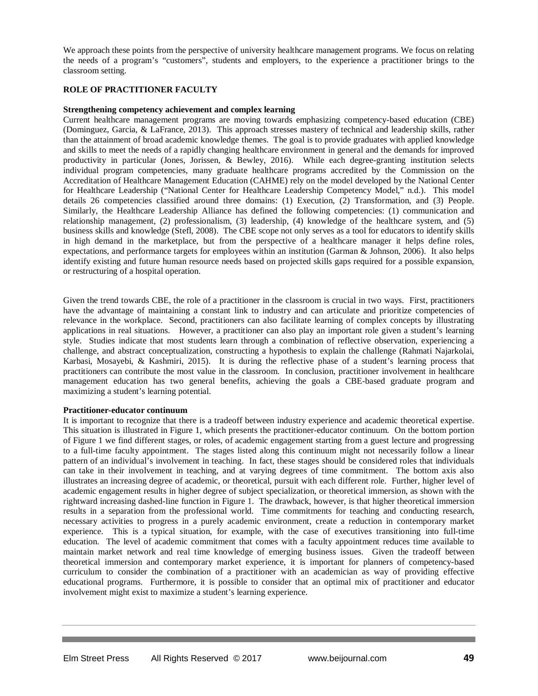We approach these points from the perspective of university healthcare management programs. We focus on relating the needs of a program's "customers", students and employers, to the experience a practitioner brings to the classroom setting.

### **ROLE OF PRACTITIONER FACULTY**

#### **Strengthening competency achievement and complex learning**

Current healthcare management programs are moving towards emphasizing competency-based education (CBE) (Dominguez, Garcia, & LaFrance, 2013). This approach stresses mastery of technical and leadership skills, rather than the attainment of broad academic knowledge themes. The goal is to provide graduates with applied knowledge and skills to meet the needs of a rapidly changing healthcare environment in general and the demands for improved productivity in particular (Jones, Jorissen, & Bewley, 2016). While each degree-granting institution selects individual program competencies, many graduate healthcare programs accredited by the Commission on the Accreditation of Healthcare Management Education (CAHME) rely on the model developed by the National Center for Healthcare Leadership ("National Center for Healthcare Leadership Competency Model," n.d.). This model details 26 competencies classified around three domains: (1) Execution, (2) Transformation, and (3) People. Similarly, the Healthcare Leadership Alliance has defined the following competencies: (1) communication and relationship management, (2) professionalism, (3) leadership, (4) knowledge of the healthcare system, and (5) business skills and knowledge (Stefl, 2008). The CBE scope not only serves as a tool for educators to identify skills in high demand in the marketplace, but from the perspective of a healthcare manager it helps define roles, expectations, and performance targets for employees within an institution (Garman & Johnson, 2006). It also helps identify existing and future human resource needs based on projected skills gaps required for a possible expansion, or restructuring of a hospital operation.

Given the trend towards CBE, the role of a practitioner in the classroom is crucial in two ways. First, practitioners have the advantage of maintaining a constant link to industry and can articulate and prioritize competencies of relevance in the workplace. Second, practitioners can also facilitate learning of complex concepts by illustrating applications in real situations. However, a practitioner can also play an important role given a student's learning style. Studies indicate that most students learn through a combination of reflective observation, experiencing a challenge, and abstract conceptualization, constructing a hypothesis to explain the challenge (Rahmati Najarkolai, Karbasi, Mosayebi, & Kashmiri, 2015). It is during the reflective phase of a student's learning process that practitioners can contribute the most value in the classroom. In conclusion, practitioner involvement in healthcare management education has two general benefits, achieving the goals a CBE-based graduate program and maximizing a student's learning potential.

#### **Practitioner-educator continuum**

It is important to recognize that there is a tradeoff between industry experience and academic theoretical expertise. This situation is illustrated in Figure 1, which presents the practitioner-educator continuum. On the bottom portion of Figure 1 we find different stages, or roles, of academic engagement starting from a guest lecture and progressing to a full-time faculty appointment. The stages listed along this continuum might not necessarily follow a linear pattern of an individual's involvement in teaching. In fact, these stages should be considered roles that individuals can take in their involvement in teaching, and at varying degrees of time commitment. The bottom axis also illustrates an increasing degree of academic, or theoretical, pursuit with each different role. Further, higher level of academic engagement results in higher degree of subject specialization, or theoretical immersion, as shown with the rightward increasing dashed-line function in Figure 1. The drawback, however, is that higher theoretical immersion results in a separation from the professional world. Time commitments for teaching and conducting research, necessary activities to progress in a purely academic environment, create a reduction in contemporary market experience. This is a typical situation, for example, with the case of executives transitioning into full-time education. The level of academic commitment that comes with a faculty appointment reduces time available to maintain market network and real time knowledge of emerging business issues. Given the tradeoff between theoretical immersion and contemporary market experience, it is important for planners of competency-based curriculum to consider the combination of a practitioner with an academician as way of providing effective educational programs. Furthermore, it is possible to consider that an optimal mix of practitioner and educator involvement might exist to maximize a student's learning experience.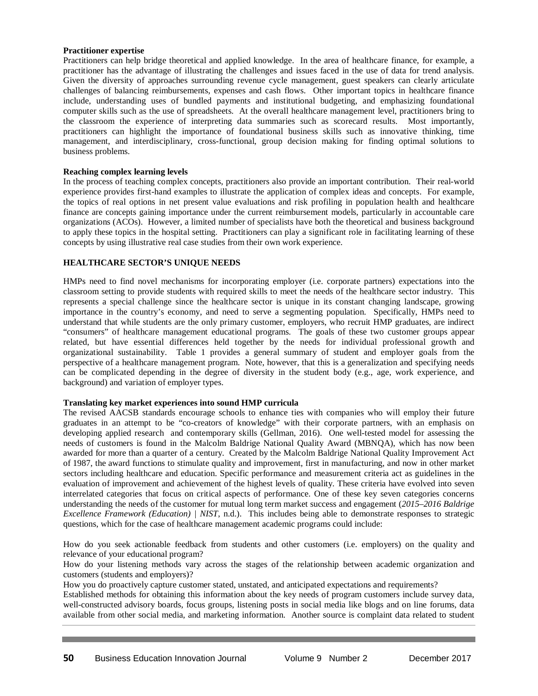#### **Practitioner expertise**

Practitioners can help bridge theoretical and applied knowledge. In the area of healthcare finance, for example, a practitioner has the advantage of illustrating the challenges and issues faced in the use of data for trend analysis. Given the diversity of approaches surrounding revenue cycle management, guest speakers can clearly articulate challenges of balancing reimbursements, expenses and cash flows. Other important topics in healthcare finance include, understanding uses of bundled payments and institutional budgeting, and emphasizing foundational computer skills such as the use of spreadsheets. At the overall healthcare management level, practitioners bring to the classroom the experience of interpreting data summaries such as scorecard results. Most importantly, practitioners can highlight the importance of foundational business skills such as innovative thinking, time management, and interdisciplinary, cross-functional, group decision making for finding optimal solutions to business problems.

#### **Reaching complex learning levels**

In the process of teaching complex concepts, practitioners also provide an important contribution. Their real-world experience provides first-hand examples to illustrate the application of complex ideas and concepts. For example, the topics of real options in net present value evaluations and risk profiling in population health and healthcare finance are concepts gaining importance under the current reimbursement models, particularly in accountable care organizations (ACOs). However, a limited number of specialists have both the theoretical and business background to apply these topics in the hospital setting. Practitioners can play a significant role in facilitating learning of these concepts by using illustrative real case studies from their own work experience.

#### **HEALTHCARE SECTOR'S UNIQUE NEEDS**

HMPs need to find novel mechanisms for incorporating employer (i.e. corporate partners) expectations into the classroom setting to provide students with required skills to meet the needs of the healthcare sector industry. This represents a special challenge since the healthcare sector is unique in its constant changing landscape, growing importance in the country's economy, and need to serve a segmenting population. Specifically, HMPs need to understand that while students are the only primary customer, employers, who recruit HMP graduates, are indirect "consumers" of healthcare management educational programs. The goals of these two customer groups appear related, but have essential differences held together by the needs for individual professional growth and organizational sustainability. Table 1 provides a general summary of student and employer goals from the perspective of a healthcare management program. Note, however, that this is a generalization and specifying needs can be complicated depending in the degree of diversity in the student body (e.g., age, work experience, and background) and variation of employer types.

#### **Translating key market experiences into sound HMP curricula**

The revised AACSB standards encourage schools to enhance ties with companies who will employ their future graduates in an attempt to be "co-creators of knowledge" with their corporate partners, with an emphasis on developing applied research and contemporary skills (Gellman, 2016). One well-tested model for assessing the needs of customers is found in the Malcolm Baldrige National Quality Award (MBNQA), which has now been awarded for more than a quarter of a century. Created by the Malcolm Baldrige National Quality Improvement Act of 1987, the award functions to stimulate quality and improvement, first in manufacturing, and now in other market sectors including healthcare and education. Specific performance and measurement criteria act as guidelines in the evaluation of improvement and achievement of the highest levels of quality. These criteria have evolved into seven interrelated categories that focus on critical aspects of performance. One of these key seven categories concerns understanding the needs of the customer for mutual long term market success and engagement (*2015–2016 Baldrige Excellence Framework (Education) | NIST*, n.d.). This includes being able to demonstrate responses to strategic questions, which for the case of healthcare management academic programs could include:

How do you seek actionable feedback from students and other customers (i.e. employers) on the quality and relevance of your educational program?

How do your listening methods vary across the stages of the relationship between academic organization and customers (students and employers)?

How you do proactively capture customer stated, unstated, and anticipated expectations and requirements?

Established methods for obtaining this information about the key needs of program customers include survey data, well-constructed advisory boards, focus groups, listening posts in social media like blogs and on line forums, data available from other social media, and marketing information. Another source is complaint data related to student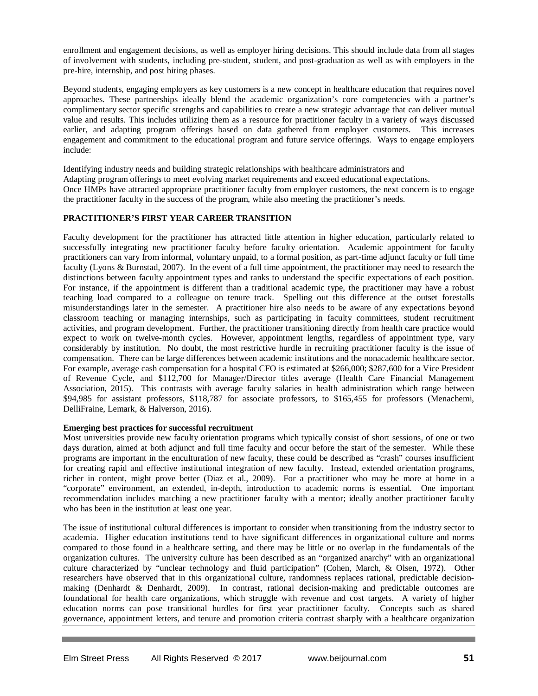enrollment and engagement decisions, as well as employer hiring decisions. This should include data from all stages of involvement with students, including pre-student, student, and post-graduation as well as with employers in the pre-hire, internship, and post hiring phases.

Beyond students, engaging employers as key customers is a new concept in healthcare education that requires novel approaches. These partnerships ideally blend the academic organization's core competencies with a partner's complimentary sector specific strengths and capabilities to create a new strategic advantage that can deliver mutual value and results. This includes utilizing them as a resource for practitioner faculty in a variety of ways discussed earlier, and adapting program offerings based on data gathered from employer customers. This increases engagement and commitment to the educational program and future service offerings. Ways to engage employers include:

Identifying industry needs and building strategic relationships with healthcare administrators and Adapting program offerings to meet evolving market requirements and exceed educational expectations. Once HMPs have attracted appropriate practitioner faculty from employer customers, the next concern is to engage the practitioner faculty in the success of the program, while also meeting the practitioner's needs.

### **PRACTITIONER'S FIRST YEAR CAREER TRANSITION**

Faculty development for the practitioner has attracted little attention in higher education, particularly related to successfully integrating new practitioner faculty before faculty orientation. Academic appointment for faculty practitioners can vary from informal, voluntary unpaid, to a formal position, as part-time adjunct faculty or full time faculty (Lyons & Burnstad, 2007). In the event of a full time appointment, the practitioner may need to research the distinctions between faculty appointment types and ranks to understand the specific expectations of each position. For instance, if the appointment is different than a traditional academic type, the practitioner may have a robust teaching load compared to a colleague on tenure track. Spelling out this difference at the outset forestalls misunderstandings later in the semester. A practitioner hire also needs to be aware of any expectations beyond classroom teaching or managing internships, such as participating in faculty committees, student recruitment activities, and program development. Further, the practitioner transitioning directly from health care practice would expect to work on twelve-month cycles. However, appointment lengths, regardless of appointment type, vary considerably by institution. No doubt, the most restrictive hurdle in recruiting practitioner faculty is the issue of compensation. There can be large differences between academic institutions and the nonacademic healthcare sector. For example, average cash compensation for a hospital CFO is estimated at \$266,000; \$287,600 for a Vice President of Revenue Cycle, and \$112,700 for Manager/Director titles average (Health Care Financial Management Association, 2015). This contrasts with average faculty salaries in health administration which range between \$94,985 for assistant professors, \$118,787 for associate professors, to \$165,455 for professors (Menachemi, DelliFraine, Lemark, & Halverson, 2016).

### **Emerging best practices for successful recruitment**

Most universities provide new faculty orientation programs which typically consist of short sessions, of one or two days duration, aimed at both adjunct and full time faculty and occur before the start of the semester. While these programs are important in the enculturation of new faculty, these could be described as "crash" courses insufficient for creating rapid and effective institutional integration of new faculty. Instead, extended orientation programs, richer in content, might prove better (Diaz et al., 2009). For a practitioner who may be more at home in a "corporate" environment, an extended, in-depth, introduction to academic norms is essential. One important recommendation includes matching a new practitioner faculty with a mentor; ideally another practitioner faculty who has been in the institution at least one year.

The issue of institutional cultural differences is important to consider when transitioning from the industry sector to academia. Higher education institutions tend to have significant differences in organizational culture and norms compared to those found in a healthcare setting, and there may be little or no overlap in the fundamentals of the organization cultures. The university culture has been described as an "organized anarchy" with an organizational culture characterized by "unclear technology and fluid participation" (Cohen, March, & Olsen, 1972). Other researchers have observed that in this organizational culture, randomness replaces rational, predictable decisionmaking (Denhardt & Denhardt, 2009). In contrast, rational decision-making and predictable outcomes are foundational for health care organizations, which struggle with revenue and cost targets. A variety of higher education norms can pose transitional hurdles for first year practitioner faculty. Concepts such as shared governance, appointment letters, and tenure and promotion criteria contrast sharply with a healthcare organization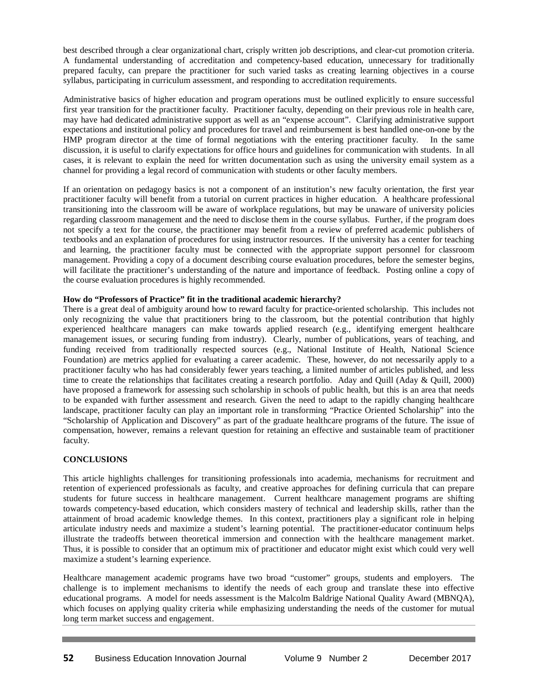best described through a clear organizational chart, crisply written job descriptions, and clear-cut promotion criteria. A fundamental understanding of accreditation and competency-based education, unnecessary for traditionally prepared faculty, can prepare the practitioner for such varied tasks as creating learning objectives in a course syllabus, participating in curriculum assessment, and responding to accreditation requirements.

Administrative basics of higher education and program operations must be outlined explicitly to ensure successful first year transition for the practitioner faculty. Practitioner faculty, depending on their previous role in health care, may have had dedicated administrative support as well as an "expense account". Clarifying administrative support expectations and institutional policy and procedures for travel and reimbursement is best handled one-on-one by the HMP program director at the time of formal negotiations with the entering practitioner faculty. In the same discussion, it is useful to clarify expectations for office hours and guidelines for communication with students. In all cases, it is relevant to explain the need for written documentation such as using the university email system as a channel for providing a legal record of communication with students or other faculty members.

If an orientation on pedagogy basics is not a component of an institution's new faculty orientation, the first year practitioner faculty will benefit from a tutorial on current practices in higher education. A healthcare professional transitioning into the classroom will be aware of workplace regulations, but may be unaware of university policies regarding classroom management and the need to disclose them in the course syllabus. Further, if the program does not specify a text for the course, the practitioner may benefit from a review of preferred academic publishers of textbooks and an explanation of procedures for using instructor resources. If the university has a center for teaching and learning, the practitioner faculty must be connected with the appropriate support personnel for classroom management. Providing a copy of a document describing course evaluation procedures, before the semester begins, will facilitate the practitioner's understanding of the nature and importance of feedback. Posting online a copy of the course evaluation procedures is highly recommended.

## **How do "Professors of Practice" fit in the traditional academic hierarchy?**

There is a great deal of ambiguity around how to reward faculty for practice-oriented scholarship. This includes not only recognizing the value that practitioners bring to the classroom, but the potential contribution that highly experienced healthcare managers can make towards applied research (e.g., identifying emergent healthcare management issues, or securing funding from industry). Clearly, number of publications, years of teaching, and funding received from traditionally respected sources (e.g., National Institute of Health, National Science Foundation) are metrics applied for evaluating a career academic. These, however, do not necessarily apply to a practitioner faculty who has had considerably fewer years teaching, a limited number of articles published, and less time to create the relationships that facilitates creating a research portfolio. Aday and Quill (Aday & Quill, 2000) have proposed a framework for assessing such scholarship in schools of public health, but this is an area that needs to be expanded with further assessment and research. Given the need to adapt to the rapidly changing healthcare landscape, practitioner faculty can play an important role in transforming "Practice Oriented Scholarship" into the "Scholarship of Application and Discovery" as part of the graduate healthcare programs of the future. The issue of compensation, however, remains a relevant question for retaining an effective and sustainable team of practitioner faculty.

## **CONCLUSIONS**

This article highlights challenges for transitioning professionals into academia, mechanisms for recruitment and retention of experienced professionals as faculty, and creative approaches for defining curricula that can prepare students for future success in healthcare management. Current healthcare management programs are shifting towards competency-based education, which considers mastery of technical and leadership skills, rather than the attainment of broad academic knowledge themes. In this context, practitioners play a significant role in helping articulate industry needs and maximize a student's learning potential. The practitioner-educator continuum helps illustrate the tradeoffs between theoretical immersion and connection with the healthcare management market. Thus, it is possible to consider that an optimum mix of practitioner and educator might exist which could very well maximize a student's learning experience.

Healthcare management academic programs have two broad "customer" groups, students and employers. The challenge is to implement mechanisms to identify the needs of each group and translate these into effective educational programs. A model for needs assessment is the Malcolm Baldrige National Quality Award (MBNQA), which focuses on applying quality criteria while emphasizing understanding the needs of the customer for mutual long term market success and engagement.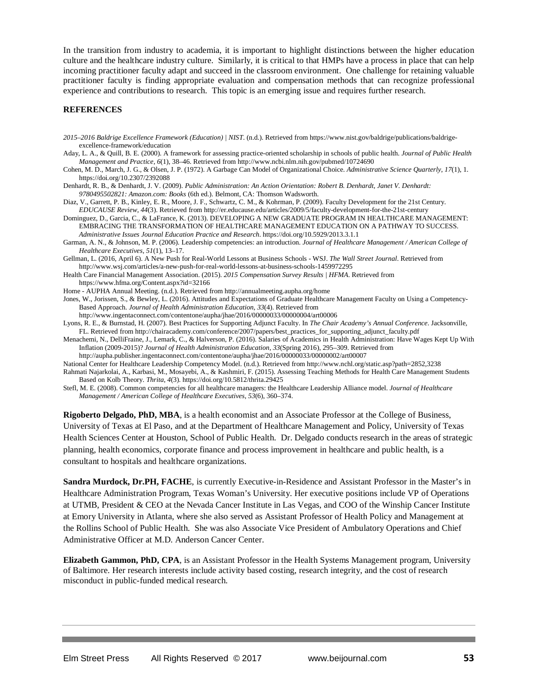In the transition from industry to academia, it is important to highlight distinctions between the higher education culture and the healthcare industry culture. Similarly, it is critical to that HMPs have a process in place that can help incoming practitioner faculty adapt and succeed in the classroom environment. One challenge for retaining valuable practitioner faculty is finding appropriate evaluation and compensation methods that can recognize professional experience and contributions to research. This topic is an emerging issue and requires further research.

#### **REFERENCES**

- *2015–2016 Baldrige Excellence Framework (Education) | NIST*. (n.d.). Retrieved from https://www.nist.gov/baldrige/publications/baldrigeexcellence-framework/education
- Aday, L. A., & Quill, B. E. (2000). A framework for assessing practice-oriented scholarship in schools of public health. *Journal of Public Health Management and Practice*, *6*(1), 38–46. Retrieved from http://www.ncbi.nlm.nih.gov/pubmed/10724690
- Cohen, M. D., March, J. G., & Olsen, J. P. (1972). A Garbage Can Model of Organizational Choice. *Administrative Science Quarterly*, *17*(1), 1. https://doi.org/10.2307/2392088
- Denhardt, R. B., & Denhardt, J. V. (2009). *Public Administration: An Action Orientation: Robert B. Denhardt, Janet V. Denhardt: 9780495502821: Amazon.com: Books* (6th ed.). Belmont, CA: Thomson Wadsworth.
- Diaz, V., Garrett, P. B., Kinley, E. R., Moore, J. F., Schwartz, C. M., & Kohrman, P. (2009). Faculty Development for the 21st Century. *EDUCAUSE Review*, *44*(3). Retrieved from http://er.educause.edu/articles/2009/5/faculty-development-for-the-21st-century
- Dominguez, D., Garcia, C., & LaFrance, K. (2013). DEVELOPING A NEW GRADUATE PROGRAM IN HEALTHCARE MANAGEMENT: EMBRACING THE TRANSFORMATION OF HEALTHCARE MANAGEMENT EDUCATION ON A PATHWAY TO SUCCESS. *Administrative Issues Journal Education Practice and Research*. https://doi.org/10.5929/2013.3.1.1
- Garman, A. N., & Johnson, M. P. (2006). Leadership competencies: an introduction. *Journal of Healthcare Management / American College of Healthcare Executives*, *51*(1), 13–17.
- Gellman, L. (2016, April 6). A New Push for Real-World Lessons at Business Schools WSJ. *The Wall Street Journal*. Retrieved from http://www.wsj.com/articles/a-new-push-for-real-world-lessons-at-business-schools-1459972295
- Health Care Financial Management Association. (2015). *2015 Compensation Survey Results | HFMA*. Retrieved from https://www.hfma.org/Content.aspx?id=32166
- Home AUPHA Annual Meeting. (n.d.). Retrieved from http://annualmeeting.aupha.org/home
- Jones, W., Jorissen, S., & Bewley, L. (2016). Attitudes and Expectations of Graduate Healthcare Management Faculty on Using a Competency-Based Approach. *Journal of Health Administration Education*, *33*(4). Retrieved from
	- http://www.ingentaconnect.com/contentone/aupha/jhae/2016/00000033/00000004/art00006
- Lyons, R. E., & Burnstad, H. (2007). Best Practices for Supporting Adjunct Faculty. In *The Chair Academy's Annual Conference*. Jacksonville, FL. Retrieved from http://chairacademy.com/conference/2007/papers/best\_practices\_for\_supporting\_adjunct\_faculty.pdf
- Menachemi, N., DelliFraine, J., Lemark, C., & Halverson, P. (2016). Salaries of Academics in Health Administration: Have Wages Kept Up With Inflation (2009-2015)? *Journal of Health Administration Education*, *33*(Spring 2016), 295–309. Retrieved from http://aupha.publisher.ingentaconnect.com/contentone/aupha/jhae/2016/00000033/00000002/art00007
- National Center for Healthcare Leadership Competency Model. (n.d.). Retrieved from http://www.nchl.org/static.asp?path=2852,3238

Rahmati Najarkolai, A., Karbasi, M., Mosayebi, A., & Kashmiri, F. (2015). Assessing Teaching Methods for Health Care Management Students Based on Kolb Theory. *Thrita*, *4*(3). https://doi.org/10.5812/thrita.29425

Stefl, M. E. (2008). Common competencies for all healthcare managers: the Healthcare Leadership Alliance model. *Journal of Healthcare Management / American College of Healthcare Executives*, *53*(6), 360–374.

**Rigoberto Delgado, PhD, MBA**, is a health economist and an Associate Professor at the College of Business, University of Texas at El Paso, and at the Department of Healthcare Management and Policy, University of Texas Health Sciences Center at Houston, School of Public Health. Dr. Delgado conducts research in the areas of strategic planning, health economics, corporate finance and process improvement in healthcare and public health, is a consultant to hospitals and healthcare organizations.

**Sandra Murdock, Dr.PH, FACHE**, is currently Executive-in-Residence and Assistant Professor in the Master's in Healthcare Administration Program, Texas Woman's University. Her executive positions include VP of Operations at UTMB, President & CEO at the Nevada Cancer Institute in Las Vegas, and COO of the Winship Cancer Institute at Emory University in Atlanta, where she also served as Assistant Professor of Health Policy and Management at the Rollins School of Public Health. She was also Associate Vice President of Ambulatory Operations and Chief Administrative Officer at M.D. Anderson Cancer Center.

**Elizabeth Gammon, PhD, CPA**, is an Assistant Professor in the Health Systems Management program, University of Baltimore. Her research interests include activity based costing, research integrity, and the cost of research misconduct in public-funded medical research.